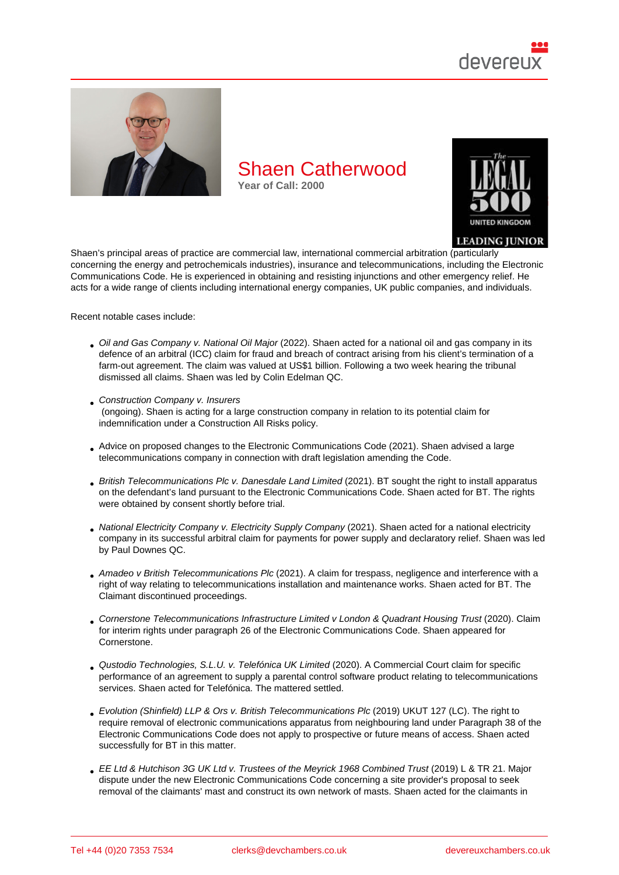# Shaen Catherwood Year of Call: 2000

Shaen's principal areas of practice are commercial law, international commercial arbitration (particularly concerning the energy and petrochemicals industries), insurance and telecommunications, including the Electronic Communications Code. He is experienced in obtaining and resisting injunctions and other emergency relief. He acts for a wide range of clients including international energy companies, UK public companies, and individuals.

Recent notable cases include:

- Oil and Gas Company v. National Oil Major (2022). Shaen acted for a national oil and gas company in its defence of an arbitral (ICC) claim for fraud and breach of contract arising from his client's termination of a farm-out agreement. The claim was valued at US\$1 billion. Following a two week hearing the tribunal dismissed all claims. Shaen was led by Colin Edelman QC.
- Construction Company v. Insurers (ongoing). Shaen is acting for a large construction company in relation to its potential claim for indemnification under a Construction All Risks policy.
- Advice on proposed changes to the Electronic Communications Code (2021). Shaen advised a large telecommunications company in connection with draft legislation amending the Code.
- British Telecommunications Plc v. Danesdale Land Limited (2021). BT sought the right to install apparatus on the defendant's land pursuant to the Electronic Communications Code. Shaen acted for BT. The rights were obtained by consent shortly before trial.
- National Electricity Company v. Electricity Supply Company (2021). Shaen acted for a national electricity company in its successful arbitral claim for payments for power supply and declaratory relief. Shaen was led by Paul Downes QC.
- Amadeo v British Telecommunications Plc (2021). A claim for trespass, negligence and interference with a right of way relating to telecommunications installation and maintenance works. Shaen acted for BT. The Claimant discontinued proceedings.
- Cornerstone Telecommunications Infrastructure Limited v London & Quadrant Housing Trust (2020). Claim for interim rights under paragraph 26 of the Electronic Communications Code. Shaen appeared for Cornerstone.
- Qustodio Technologies, S.L.U. v. Telefónica UK Limited (2020). A Commercial Court claim for specific performance of an agreement to supply a parental control software product relating to telecommunications services. Shaen acted for Telefónica. The mattered settled.
- Evolution (Shinfield) LLP & Ors v. British Telecommunications Plc (2019) UKUT 127 (LC). The right to require removal of electronic communications apparatus from neighbouring land under Paragraph 38 of the Electronic Communications Code does not apply to prospective or future means of access. Shaen acted successfully for BT in this matter.
- EE Ltd & Hutchison 3G UK Ltd v. Trustees of the Meyrick 1968 Combined Trust (2019) L & TR 21. Major dispute under the new Electronic Communications Code concerning a site provider's proposal to seek removal of the claimants' mast and construct its own network of masts. Shaen acted for the claimants in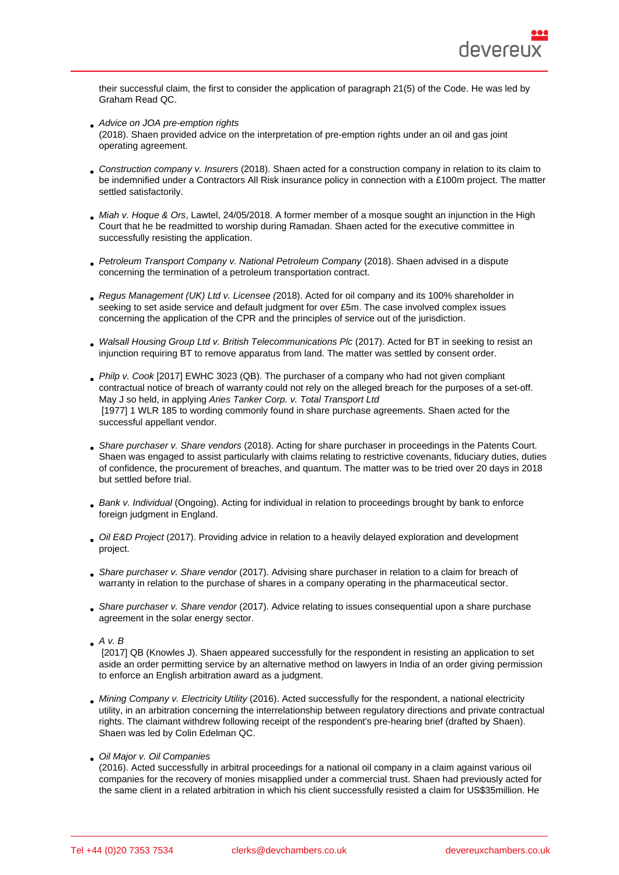their successful claim, the first to consider the application of paragraph 21(5) of the Code. He was led by Graham Read QC.

- Advice on JOA pre-emption rights (2018). Shaen provided advice on the interpretation of pre-emption rights under an oil and gas joint operating agreement.
- Construction company v. Insurers (2018). Shaen acted for a construction company in relation to its claim to be indemnified under a Contractors All Risk insurance policy in connection with a £100m project. The matter settled satisfactorily.
- Miah v. Hoque & Ors, Lawtel, 24/05/2018. A former member of a mosque sought an injunction in the High Court that he be readmitted to worship during Ramadan. Shaen acted for the executive committee in successfully resisting the application.
- Petroleum Transport Company v. National Petroleum Company (2018). Shaen advised in a dispute concerning the termination of a petroleum transportation contract.
- Regus Management (UK) Ltd v. Licensee (2018). Acted for oil company and its 100% shareholder in seeking to set aside service and default judgment for over £5m. The case involved complex issues concerning the application of the CPR and the principles of service out of the jurisdiction.
- Walsall Housing Group Ltd v. British Telecommunications Plc (2017). Acted for BT in seeking to resist an injunction requiring BT to remove apparatus from land. The matter was settled by consent order.
- Philp v. Cook [2017] EWHC 3023 (QB). The purchaser of a company who had not given compliant contractual notice of breach of warranty could not rely on the alleged breach for the purposes of a set-off. May J so held, in applying Aries Tanker Corp. v. Total Transport Ltd [1977] 1 WLR 185 to wording commonly found in share purchase agreements. Shaen acted for the successful appellant vendor.
- Share purchaser v. Share vendors (2018). Acting for share purchaser in proceedings in the Patents Court. Shaen was engaged to assist particularly with claims relating to restrictive covenants, fiduciary duties, duties of confidence, the procurement of breaches, and quantum. The matter was to be tried over 20 days in 2018 but settled before trial.
- Bank v. Individual (Ongoing). Acting for individual in relation to proceedings brought by bank to enforce foreign judgment in England.
- Oil E&D Project (2017). Providing advice in relation to a heavily delayed exploration and development project.
- Share purchaser v. Share vendor (2017). Advising share purchaser in relation to a claim for breach of warranty in relation to the purchase of shares in a company operating in the pharmaceutical sector.
- Share purchaser v. Share vendor (2017). Advice relating to issues consequential upon a share purchase agreement in the solar energy sector.
- $A v. B$

 [2017] QB (Knowles J). Shaen appeared successfully for the respondent in resisting an application to set aside an order permitting service by an alternative method on lawyers in India of an order giving permission to enforce an English arbitration award as a judgment.

- Mining Company v. Electricity Utility (2016). Acted successfully for the respondent, a national electricity utility, in an arbitration concerning the interrelationship between regulatory directions and private contractual rights. The claimant withdrew following receipt of the respondent's pre-hearing brief (drafted by Shaen). Shaen was led by Colin Edelman QC.
- Oil Major v. Oil Companies

(2016). Acted successfully in arbitral proceedings for a national oil company in a claim against various oil companies for the recovery of monies misapplied under a commercial trust. Shaen had previously acted for the same client in a related arbitration in which his client successfully resisted a claim for US\$35million. He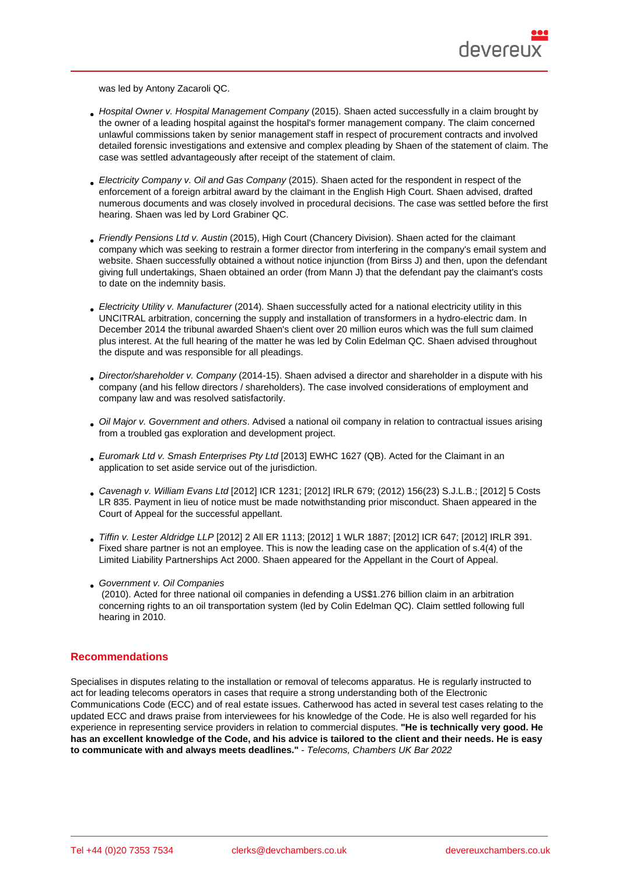was led by Antony Zacaroli QC.

- Hospital Owner v. Hospital Management Company (2015). Shaen acted successfully in a claim brought by the owner of a leading hospital against the hospital's former management company. The claim concerned unlawful commissions taken by senior management staff in respect of procurement contracts and involved detailed forensic investigations and extensive and complex pleading by Shaen of the statement of claim. The case was settled advantageously after receipt of the statement of claim.
- Electricity Company v. Oil and Gas Company (2015). Shaen acted for the respondent in respect of the enforcement of a foreign arbitral award by the claimant in the English High Court. Shaen advised, drafted numerous documents and was closely involved in procedural decisions. The case was settled before the first hearing. Shaen was led by Lord Grabiner QC.
- Friendly Pensions Ltd v. Austin (2015), High Court (Chancery Division). Shaen acted for the claimant company which was seeking to restrain a former director from interfering in the company's email system and website. Shaen successfully obtained a without notice injunction (from Birss J) and then, upon the defendant giving full undertakings, Shaen obtained an order (from Mann J) that the defendant pay the claimant's costs to date on the indemnity basis.
- Electricity Utility v. Manufacturer (2014). Shaen successfully acted for a national electricity utility in this UNCITRAL arbitration, concerning the supply and installation of transformers in a hydro-electric dam. In December 2014 the tribunal awarded Shaen's client over 20 million euros which was the full sum claimed plus interest. At the full hearing of the matter he was led by Colin Edelman QC. Shaen advised throughout the dispute and was responsible for all pleadings.
- Director/shareholder v. Company (2014-15). Shaen advised a director and shareholder in a dispute with his company (and his fellow directors / shareholders). The case involved considerations of employment and company law and was resolved satisfactorily.
- Oil Major v. Government and others. Advised a national oil company in relation to contractual issues arising from a troubled gas exploration and development project.
- Euromark Ltd v. Smash Enterprises Pty Ltd [2013] EWHC 1627 (QB). Acted for the Claimant in an application to set aside service out of the jurisdiction.
- Cavenagh v. William Evans Ltd [2012] ICR 1231; [2012] IRLR 679; (2012) 156(23) S.J.L.B.; [2012] 5 Costs LR 835. Payment in lieu of notice must be made notwithstanding prior misconduct. Shaen appeared in the Court of Appeal for the successful appellant.
- Tiffin v. Lester Aldridge LLP [2012] 2 All ER 1113; [2012] 1 WLR 1887; [2012] ICR 647; [2012] IRLR 391. Fixed share partner is not an employee. This is now the leading case on the application of s.4(4) of the Limited Liability Partnerships Act 2000. Shaen appeared for the Appellant in the Court of Appeal.
- Government v. Oil Companies
- (2010). Acted for three national oil companies in defending a US\$1.276 billion claim in an arbitration concerning rights to an oil transportation system (led by Colin Edelman QC). Claim settled following full hearing in 2010.

#### Recommendations

Specialises in disputes relating to the installation or removal of telecoms apparatus. He is regularly instructed to act for leading telecoms operators in cases that require a strong understanding both of the Electronic Communications Code (ECC) and of real estate issues. Catherwood has acted in several test cases relating to the updated ECC and draws praise from interviewees for his knowledge of the Code. He is also well regarded for his experience in representing service providers in relation to commercial disputes. "He is technically very good. He has an excellent knowledge of the Code, and his advice is tailored to the client and their needs. He is easy to communicate with and always meets deadlines." - Telecoms, Chambers UK Bar 2022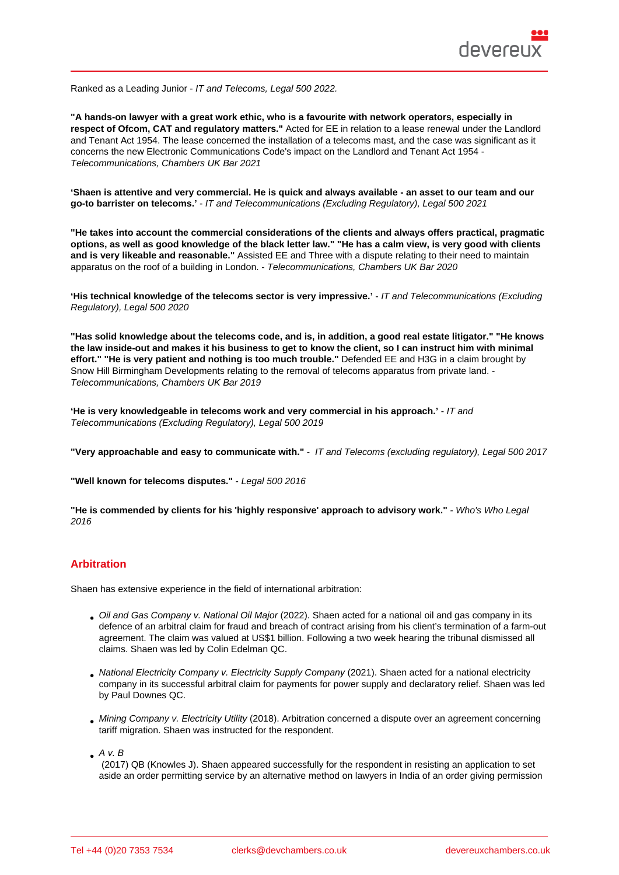Ranked as a Leading Junior - IT and Telecoms, Legal 500 2022.

"A hands-on lawyer with a great work ethic, who is a favourite with network operators, especially in respect of Ofcom, CAT and regulatory matters." Acted for EE in relation to a lease renewal under the Landlord and Tenant Act 1954. The lease concerned the installation of a telecoms mast, and the case was significant as it concerns the new Electronic Communications Code's impact on the Landlord and Tenant Act 1954 - Telecommunications, Chambers UK Bar 2021

'Shaen is attentive and very commercial. He is quick and always available - an asset to our team and our go-to barrister on telecoms.' - IT and Telecommunications (Excluding Regulatory), Legal 500 2021

"He takes into account the commercial considerations of the clients and always offers practical, pragmatic options, as well as good knowledge of the black letter law." "He has a calm view, is very good with clients and is very likeable and reasonable." Assisted EE and Three with a dispute relating to their need to maintain apparatus on the roof of a building in London. - Telecommunications, Chambers UK Bar 2020

'His technical knowledge of the telecoms sector is very impressive.' - IT and Telecommunications (Excluding Regulatory), Legal 500 2020

"Has solid knowledge about the telecoms code, and is, in addition, a good real estate litigator." "He knows the law inside-out and makes it his business to get to know the client, so I can instruct him with minimal effort." "He is very patient and nothing is too much trouble." Defended EE and H3G in a claim brought by Snow Hill Birmingham Developments relating to the removal of telecoms apparatus from private land. - Telecommunications, Chambers UK Bar 2019

'He is very knowledgeable in telecoms work and very commercial in his approach.' - IT and Telecommunications (Excluding Regulatory), Legal 500 2019

"Very approachable and easy to communicate with." - IT and Telecoms (excluding regulatory), Legal 500 2017

"Well known for telecoms disputes." - Legal 500 2016

"He is commended by clients for his 'highly responsive' approach to advisory work." - Who's Who Legal 2016

### Arbitration

Shaen has extensive experience in the field of international arbitration:

- Oil and Gas Company v. National Oil Major (2022). Shaen acted for a national oil and gas company in its defence of an arbitral claim for fraud and breach of contract arising from his client's termination of a farm-out agreement. The claim was valued at US\$1 billion. Following a two week hearing the tribunal dismissed all claims. Shaen was led by Colin Edelman QC.
- National Electricity Company v. Electricity Supply Company (2021). Shaen acted for a national electricity company in its successful arbitral claim for payments for power supply and declaratory relief. Shaen was led by Paul Downes QC.
- Mining Company v. Electricity Utility (2018). Arbitration concerned a dispute over an agreement concerning tariff migration. Shaen was instructed for the respondent.
- $A v. B$

 (2017) QB (Knowles J). Shaen appeared successfully for the respondent in resisting an application to set aside an order permitting service by an alternative method on lawyers in India of an order giving permission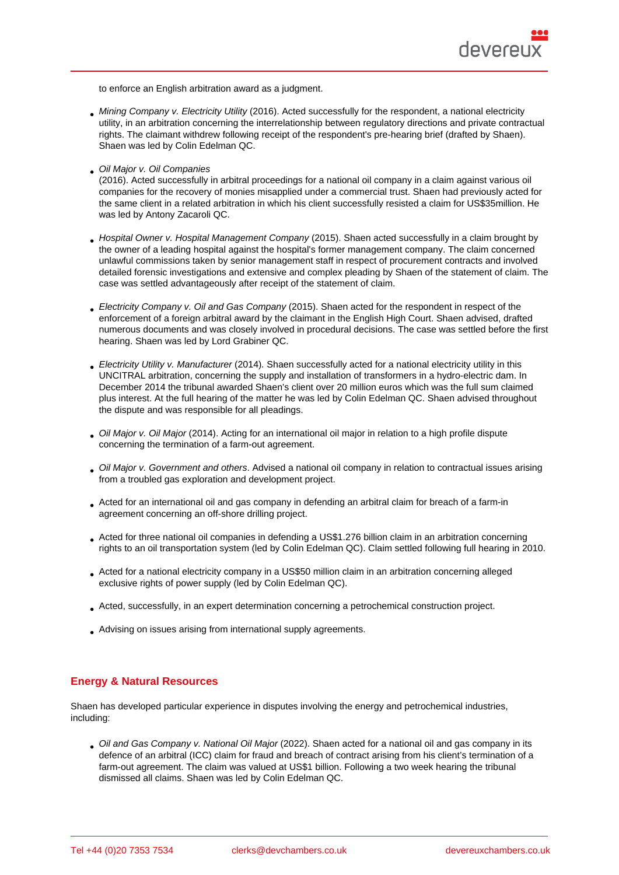to enforce an English arbitration award as a judgment.

- Mining Company v. Electricity Utility (2016). Acted successfully for the respondent, a national electricity utility, in an arbitration concerning the interrelationship between regulatory directions and private contractual rights. The claimant withdrew following receipt of the respondent's pre-hearing brief (drafted by Shaen). Shaen was led by Colin Edelman QC.
- Oil Major v. Oil Companies
- (2016). Acted successfully in arbitral proceedings for a national oil company in a claim against various oil companies for the recovery of monies misapplied under a commercial trust. Shaen had previously acted for the same client in a related arbitration in which his client successfully resisted a claim for US\$35million. He was led by Antony Zacaroli QC.
- Hospital Owner v. Hospital Management Company (2015). Shaen acted successfully in a claim brought by the owner of a leading hospital against the hospital's former management company. The claim concerned unlawful commissions taken by senior management staff in respect of procurement contracts and involved detailed forensic investigations and extensive and complex pleading by Shaen of the statement of claim. The case was settled advantageously after receipt of the statement of claim.
- Electricity Company v. Oil and Gas Company (2015). Shaen acted for the respondent in respect of the enforcement of a foreign arbitral award by the claimant in the English High Court. Shaen advised, drafted numerous documents and was closely involved in procedural decisions. The case was settled before the first hearing. Shaen was led by Lord Grabiner QC.
- Electricity Utility v. Manufacturer (2014). Shaen successfully acted for a national electricity utility in this UNCITRAL arbitration, concerning the supply and installation of transformers in a hydro-electric dam. In December 2014 the tribunal awarded Shaen's client over 20 million euros which was the full sum claimed plus interest. At the full hearing of the matter he was led by Colin Edelman QC. Shaen advised throughout the dispute and was responsible for all pleadings.
- Oil Major v. Oil Major (2014). Acting for an international oil major in relation to a high profile dispute concerning the termination of a farm-out agreement.
- Oil Major v. Government and others. Advised a national oil company in relation to contractual issues arising from a troubled gas exploration and development project.
- Acted for an international oil and gas company in defending an arbitral claim for breach of a farm-in agreement concerning an off-shore drilling project.
- Acted for three national oil companies in defending a US\$1.276 billion claim in an arbitration concerning rights to an oil transportation system (led by Colin Edelman QC). Claim settled following full hearing in 2010.
- Acted for a national electricity company in a US\$50 million claim in an arbitration concerning alleged exclusive rights of power supply (led by Colin Edelman QC).
- Acted, successfully, in an expert determination concerning a petrochemical construction project.
- Advising on issues arising from international supply agreements.

# Energy & Natural Resources

Shaen has developed particular experience in disputes involving the energy and petrochemical industries, including:

Oil and Gas Company v. National Oil Major (2022). Shaen acted for a national oil and gas company in its defence of an arbitral (ICC) claim for fraud and breach of contract arising from his client's termination of a farm-out agreement. The claim was valued at US\$1 billion. Following a two week hearing the tribunal dismissed all claims. Shaen was led by Colin Edelman QC.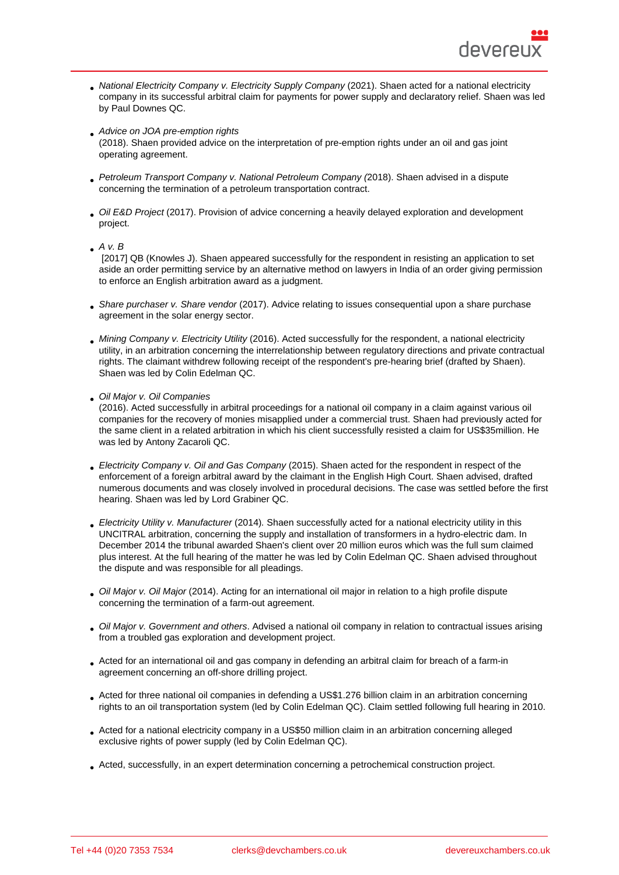- National Electricity Company v. Electricity Supply Company (2021). Shaen acted for a national electricity company in its successful arbitral claim for payments for power supply and declaratory relief. Shaen was led by Paul Downes QC.
- Advice on JOA pre-emption rights (2018). Shaen provided advice on the interpretation of pre-emption rights under an oil and gas joint operating agreement.
- Petroleum Transport Company v. National Petroleum Company (2018). Shaen advised in a dispute concerning the termination of a petroleum transportation contract.
- Oil E&D Project (2017). Provision of advice concerning a heavily delayed exploration and development project.
- $A v. B$

 [2017] QB (Knowles J). Shaen appeared successfully for the respondent in resisting an application to set aside an order permitting service by an alternative method on lawyers in India of an order giving permission to enforce an English arbitration award as a judgment.

- Share purchaser v. Share vendor (2017). Advice relating to issues consequential upon a share purchase agreement in the solar energy sector.
- Mining Company v. Electricity Utility (2016). Acted successfully for the respondent, a national electricity utility, in an arbitration concerning the interrelationship between regulatory directions and private contractual rights. The claimant withdrew following receipt of the respondent's pre-hearing brief (drafted by Shaen). Shaen was led by Colin Edelman QC.
- Oil Major v. Oil Companies

(2016). Acted successfully in arbitral proceedings for a national oil company in a claim against various oil companies for the recovery of monies misapplied under a commercial trust. Shaen had previously acted for the same client in a related arbitration in which his client successfully resisted a claim for US\$35million. He was led by Antony Zacaroli QC.

- Electricity Company v. Oil and Gas Company (2015). Shaen acted for the respondent in respect of the enforcement of a foreign arbitral award by the claimant in the English High Court. Shaen advised, drafted numerous documents and was closely involved in procedural decisions. The case was settled before the first hearing. Shaen was led by Lord Grabiner QC.
- Electricity Utility v. Manufacturer (2014). Shaen successfully acted for a national electricity utility in this UNCITRAL arbitration, concerning the supply and installation of transformers in a hydro-electric dam. In December 2014 the tribunal awarded Shaen's client over 20 million euros which was the full sum claimed plus interest. At the full hearing of the matter he was led by Colin Edelman QC. Shaen advised throughout the dispute and was responsible for all pleadings.
- Oil Major v. Oil Major (2014). Acting for an international oil major in relation to a high profile dispute concerning the termination of a farm-out agreement.
- Oil Major v. Government and others. Advised a national oil company in relation to contractual issues arising from a troubled gas exploration and development project.
- Acted for an international oil and gas company in defending an arbitral claim for breach of a farm-in agreement concerning an off-shore drilling project.
- Acted for three national oil companies in defending a US\$1.276 billion claim in an arbitration concerning rights to an oil transportation system (led by Colin Edelman QC). Claim settled following full hearing in 2010.
- Acted for a national electricity company in a US\$50 million claim in an arbitration concerning alleged exclusive rights of power supply (led by Colin Edelman QC).
- Acted, successfully, in an expert determination concerning a petrochemical construction project.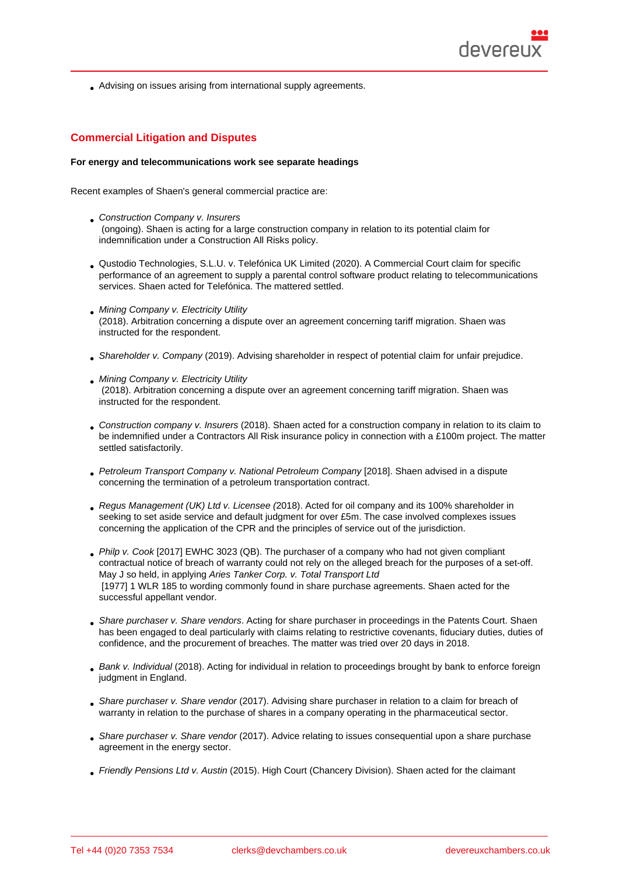Advising on issues arising from international supply agreements.

## Commercial Litigation and Disputes

For energy and telecommunications work see separate headings

Recent examples of Shaen's general commercial practice are:

- Construction Company v. Insurers (ongoing). Shaen is acting for a large construction company in relation to its potential claim for indemnification under a Construction All Risks policy.
- Qustodio Technologies, S.L.U. v. Telefónica UK Limited (2020). A Commercial Court claim for specific performance of an agreement to supply a parental control software product relating to telecommunications services. Shaen acted for Telefónica. The mattered settled.
- **Mining Company v. Electricity Utility** (2018). Arbitration concerning a dispute over an agreement concerning tariff migration. Shaen was instructed for the respondent.
- Shareholder v. Company (2019). Advising shareholder in respect of potential claim for unfair prejudice.
- Mining Company v. Electricity Utility (2018). Arbitration concerning a dispute over an agreement concerning tariff migration. Shaen was instructed for the respondent.
- Construction company v. Insurers (2018). Shaen acted for a construction company in relation to its claim to be indemnified under a Contractors All Risk insurance policy in connection with a £100m project. The matter settled satisfactorily.
- Petroleum Transport Company v. National Petroleum Company [2018]. Shaen advised in a dispute concerning the termination of a petroleum transportation contract.
- Regus Management (UK) Ltd v. Licensee (2018). Acted for oil company and its 100% shareholder in seeking to set aside service and default judgment for over £5m. The case involved complexes issues concerning the application of the CPR and the principles of service out of the jurisdiction.
- Philp v. Cook [2017] EWHC 3023 (QB). The purchaser of a company who had not given compliant contractual notice of breach of warranty could not rely on the alleged breach for the purposes of a set-off. May J so held, in applying Aries Tanker Corp. v. Total Transport Ltd [1977] 1 WLR 185 to wording commonly found in share purchase agreements. Shaen acted for the successful appellant vendor.
- Share purchaser v. Share vendors. Acting for share purchaser in proceedings in the Patents Court. Shaen has been engaged to deal particularly with claims relating to restrictive covenants, fiduciary duties, duties of confidence, and the procurement of breaches. The matter was tried over 20 days in 2018.
- Bank v. Individual (2018). Acting for individual in relation to proceedings brought by bank to enforce foreign judgment in England.
- Share purchaser v. Share vendor (2017). Advising share purchaser in relation to a claim for breach of warranty in relation to the purchase of shares in a company operating in the pharmaceutical sector.
- Share purchaser v. Share vendor (2017). Advice relating to issues consequential upon a share purchase agreement in the energy sector.
- Friendly Pensions Ltd v. Austin (2015). High Court (Chancery Division). Shaen acted for the claimant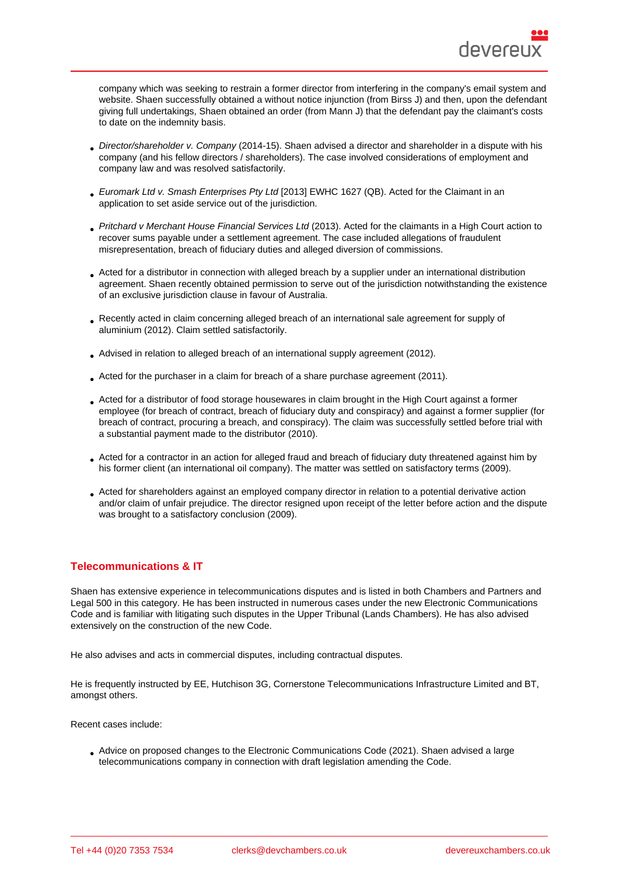company which was seeking to restrain a former director from interfering in the company's email system and website. Shaen successfully obtained a without notice injunction (from Birss J) and then, upon the defendant giving full undertakings, Shaen obtained an order (from Mann J) that the defendant pay the claimant's costs to date on the indemnity basis.

- Director/shareholder v. Company (2014-15). Shaen advised a director and shareholder in a dispute with his company (and his fellow directors / shareholders). The case involved considerations of employment and company law and was resolved satisfactorily.
- Euromark Ltd v. Smash Enterprises Pty Ltd [2013] EWHC 1627 (QB). Acted for the Claimant in an application to set aside service out of the jurisdiction.
- Pritchard v Merchant House Financial Services Ltd (2013). Acted for the claimants in a High Court action to recover sums payable under a settlement agreement. The case included allegations of fraudulent misrepresentation, breach of fiduciary duties and alleged diversion of commissions.
- Acted for a distributor in connection with alleged breach by a supplier under an international distribution agreement. Shaen recently obtained permission to serve out of the jurisdiction notwithstanding the existence of an exclusive jurisdiction clause in favour of Australia.
- Recently acted in claim concerning alleged breach of an international sale agreement for supply of aluminium (2012). Claim settled satisfactorily.
- Advised in relation to alleged breach of an international supply agreement (2012).
- Acted for the purchaser in a claim for breach of a share purchase agreement (2011).
- Acted for a distributor of food storage housewares in claim brought in the High Court against a former employee (for breach of contract, breach of fiduciary duty and conspiracy) and against a former supplier (for breach of contract, procuring a breach, and conspiracy). The claim was successfully settled before trial with a substantial payment made to the distributor (2010).
- Acted for a contractor in an action for alleged fraud and breach of fiduciary duty threatened against him by his former client (an international oil company). The matter was settled on satisfactory terms (2009).
- Acted for shareholders against an employed company director in relation to a potential derivative action and/or claim of unfair prejudice. The director resigned upon receipt of the letter before action and the dispute was brought to a satisfactory conclusion (2009).

# Telecommunications & IT

Shaen has extensive experience in telecommunications disputes and is listed in both Chambers and Partners and Legal 500 in this category. He has been instructed in numerous cases under the new Electronic Communications Code and is familiar with litigating such disputes in the Upper Tribunal (Lands Chambers). He has also advised extensively on the construction of the new Code.

He also advises and acts in commercial disputes, including contractual disputes.

He is frequently instructed by EE, Hutchison 3G, Cornerstone Telecommunications Infrastructure Limited and BT, amongst others.

Recent cases include:

Advice on proposed changes to the Electronic Communications Code (2021). Shaen advised a large telecommunications company in connection with draft legislation amending the Code.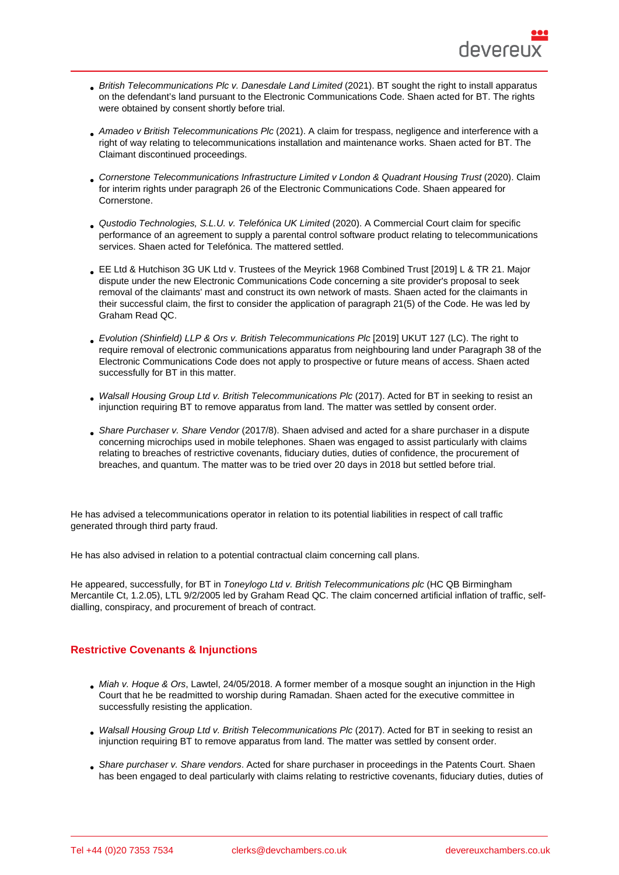- British Telecommunications Plc v. Danesdale Land Limited (2021). BT sought the right to install apparatus on the defendant's land pursuant to the Electronic Communications Code. Shaen acted for BT. The rights were obtained by consent shortly before trial.
- Amadeo v British Telecommunications Plc (2021). A claim for trespass, negligence and interference with a right of way relating to telecommunications installation and maintenance works. Shaen acted for BT. The Claimant discontinued proceedings.
- Cornerstone Telecommunications Infrastructure Limited v London & Quadrant Housing Trust (2020). Claim for interim rights under paragraph 26 of the Electronic Communications Code. Shaen appeared for Cornerstone.
- Qustodio Technologies, S.L.U. v. Telefónica UK Limited (2020). A Commercial Court claim for specific performance of an agreement to supply a parental control software product relating to telecommunications services. Shaen acted for Telefónica. The mattered settled.
- EE Ltd & Hutchison 3G UK Ltd v. Trustees of the Meyrick 1968 Combined Trust [2019] L & TR 21. Major dispute under the new Electronic Communications Code concerning a site provider's proposal to seek removal of the claimants' mast and construct its own network of masts. Shaen acted for the claimants in their successful claim, the first to consider the application of paragraph 21(5) of the Code. He was led by Graham Read QC.
- Evolution (Shinfield) LLP & Ors v. British Telecommunications Plc [2019] UKUT 127 (LC). The right to require removal of electronic communications apparatus from neighbouring land under Paragraph 38 of the Electronic Communications Code does not apply to prospective or future means of access. Shaen acted successfully for BT in this matter.
- Walsall Housing Group Ltd v. British Telecommunications Plc (2017). Acted for BT in seeking to resist an injunction requiring BT to remove apparatus from land. The matter was settled by consent order.
- Share Purchaser v. Share Vendor (2017/8). Shaen advised and acted for a share purchaser in a dispute concerning microchips used in mobile telephones. Shaen was engaged to assist particularly with claims relating to breaches of restrictive covenants, fiduciary duties, duties of confidence, the procurement of breaches, and quantum. The matter was to be tried over 20 days in 2018 but settled before trial.

He has advised a telecommunications operator in relation to its potential liabilities in respect of call traffic generated through third party fraud.

He has also advised in relation to a potential contractual claim concerning call plans.

He appeared, successfully, for BT in Toneylogo Ltd v. British Telecommunications plc (HC QB Birmingham Mercantile Ct, 1.2.05), LTL 9/2/2005 led by Graham Read QC. The claim concerned artificial inflation of traffic, selfdialling, conspiracy, and procurement of breach of contract.

# Restrictive Covenants & Injunctions

- Miah v. Hoque & Ors, Lawtel, 24/05/2018. A former member of a mosque sought an injunction in the High Court that he be readmitted to worship during Ramadan. Shaen acted for the executive committee in successfully resisting the application.
- Walsall Housing Group Ltd v. British Telecommunications Plc (2017). Acted for BT in seeking to resist an injunction requiring BT to remove apparatus from land. The matter was settled by consent order.
- Share purchaser v. Share vendors. Acted for share purchaser in proceedings in the Patents Court. Shaen has been engaged to deal particularly with claims relating to restrictive covenants, fiduciary duties, duties of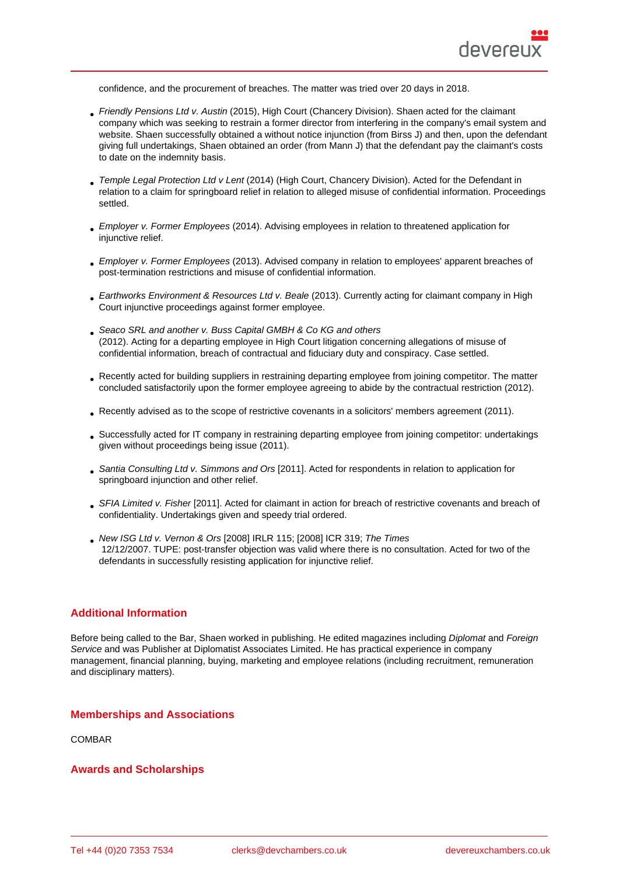confidence, and the procurement of breaches. The matter was tried over 20 days in 2018.

- Friendly Pensions Ltd v. Austin (2015), High Court (Chancery Division). Shaen acted for the claimant company which was seeking to restrain a former director from interfering in the company's email system and website. Shaen successfully obtained a without notice injunction (from Birss J) and then, upon the defendant giving full undertakings, Shaen obtained an order (from Mann J) that the defendant pay the claimant's costs to date on the indemnity basis.
- Temple Legal Protection Ltd v Lent (2014) (High Court, Chancery Division). Acted for the Defendant in relation to a claim for springboard relief in relation to alleged misuse of confidential information. Proceedings settled.
- Employer v. Former Employees (2014). Advising employees in relation to threatened application for injunctive relief.
- Employer v. Former Employees (2013). Advised company in relation to employees' apparent breaches of post-termination restrictions and misuse of confidential information.
- Earthworks Environment & Resources Ltd v. Beale (2013). Currently acting for claimant company in High Court injunctive proceedings against former employee.
- Seaco SRL and another v. Buss Capital GMBH & Co KG and others (2012). Acting for a departing employee in High Court litigation concerning allegations of misuse of confidential information, breach of contractual and fiduciary duty and conspiracy. Case settled.
- Recently acted for building suppliers in restraining departing employee from joining competitor. The matter concluded satisfactorily upon the former employee agreeing to abide by the contractual restriction (2012).
- Recently advised as to the scope of restrictive covenants in a solicitors' members agreement (2011).
- Successfully acted for IT company in restraining departing employee from joining competitor: undertakings given without proceedings being issue (2011).
- Santia Consulting Ltd v. Simmons and Ors [2011]. Acted for respondents in relation to application for springboard injunction and other relief.
- SFIA Limited v. Fisher [2011]. Acted for claimant in action for breach of restrictive covenants and breach of confidentiality. Undertakings given and speedy trial ordered.
- New ISG Ltd v. Vernon & Ors [2008] IRLR 115; [2008] ICR 319; The Times 12/12/2007. TUPE: post-transfer objection was valid where there is no consultation. Acted for two of the defendants in successfully resisting application for injunctive relief.

### Additional Information

Before being called to the Bar, Shaen worked in publishing. He edited magazines including Diplomat and Foreign Service and was Publisher at Diplomatist Associates Limited. He has practical experience in company management, financial planning, buying, marketing and employee relations (including recruitment, remuneration and disciplinary matters).

### Memberships and Associations

COMBAR

#### Awards and Scholarships